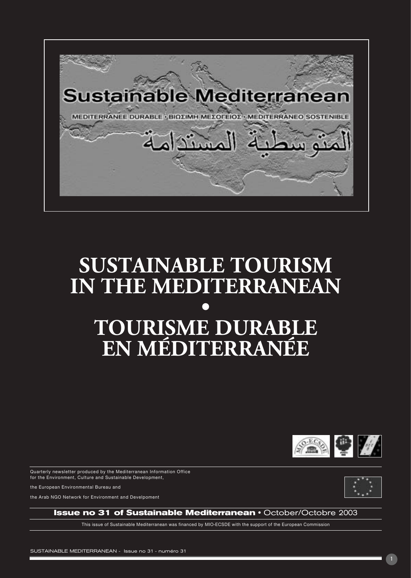

# **SUSTAINABLE TOURISM IN THE MEDITERRANEAN • TOURISME DURABLE EN MÉDITERRANÉE**



Quarterly newsletter produced by the Mediterranean Information Office for the Environment, Culture and Sustainable Development,

the European Environmental Bureau and

the Arab NGO Network for Environment and Develpoment



**Issue no 31 of Sustainable Mediterranean · October/Octobre 2003** 

This issue of Sustainable Mediterranean was financed by MIO-ECSDE with the support of the European Commission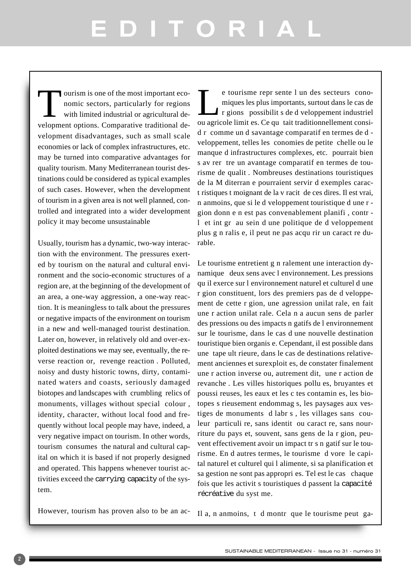# EDITORIAL

If our is one of the most important economic sectors, particularly for regions with limited industrial or agricultural development options. Comparative traditional development disadvantages, such as small scale economies or lack of complex infrastructures, etc. may be turned into comparative advantages for quality tourism. Many Mediterranean tourist destinations could be considered as typical examples of such cases. However, when the development of tourism in a given area is not well planned, controlled and integrated into a wider development policy it may become unsustainable

Usually, tourism has a dynamic, two-way interaction with the environment. The pressures exerted by tourism on the natural and cultural environment and the socio-economic structures of a region are, at the beginning of the development of an area, a one-way aggression, a one-way reaction. It is meaningless to talk about the pressures or negative impacts of the environment on tourism in a new and well-managed tourist destination. Later on, however, in relatively old and over-exploited destinations we may see, eventually, the reverse reaction or, revenge reaction . Polluted, noisy and dusty historic towns, dirty, contaminated waters and coasts, seriously damaged biotopes and landscapes with crumbling relics of monuments, villages without special colour , identity, character, without local food and frequently without local people may have, indeed, a very negative impact on tourism. In other words, tourism consumes the natural and cultural capital on which it is based if not properly designed and operated. This happens whenever tourist activities exceed the carrying capacity of the system.

e tourisme repr sente l un des secteurs cono-<br>miques les plus importants, surtout dans le cas de<br>r gions possibilit s de d veloppement industriel<br>quagricole limit es Ce que tait traditionnellement consimiques les plus importants, surtout dans le cas de r gions possibilit s de d veloppement industriel ou agricole limit es. Ce qu tait traditionnellement considr comme un d savantage comparatif en termes de d veloppement, telles les conomies de petite chelle ou le manque d infrastructures complexes, etc. pourrait bien s av rer tre un avantage comparatif en termes de tourisme de qualit . Nombreuses destinations touristiques de la M diterran e pourraient servir d exemples caract ristiques t moignant de la v racit de ces dires. Il est vrai, n anmoins, que si le d veloppement touristique d une r gion donn e n est pas convenablement planifi , contr l et int gr au sein d une politique de d veloppement plus g n ralis e, il peut ne pas acqu rir un caract re durable.

Le tourisme entretient g n ralement une interaction dynamique deux sens avec l environnement. Les pressions qu il exerce sur l environnement naturel et culturel d une r gion constituent, lors des premiers pas de d veloppement de cette r gion, une agression unilat rale, en fait une r action unilat rale. Cela n a aucun sens de parler des pressions ou des impacts n gatifs de l environnement sur le tourisme, dans le cas d une nouvelle destination touristique bien organis e. Cependant, il est possible dans une tape ult rieure, dans le cas de destinations relativement anciennes et surexploit es, de constater finalement une r action inverse ou, autrement dit, une r action de revanche . Les villes historiques pollu es, bruyantes et poussi reuses, les eaux et les c tes contamin es, les biotopes s rieusement endommag s, les paysages aux vestiges de monuments d labr s , les villages sans couleur particuli re, sans identit ou caract re, sans nourriture du pays et, souvent, sans gens de la r gion, peuvent effectivement avoir un impact tr s n gatif sur le tourisme. En d autres termes, le tourisme d vore le capital naturel et culturel qui l alimente, si sa planification et sa gestion ne sont pas appropri es. Tel est le cas chaque fois que les activit s touristiques d passent la capacité récréative du syst me.

However, tourism has proven also to be an ac-

Il a, n anmoins, t d montr que le tourisme peut ga-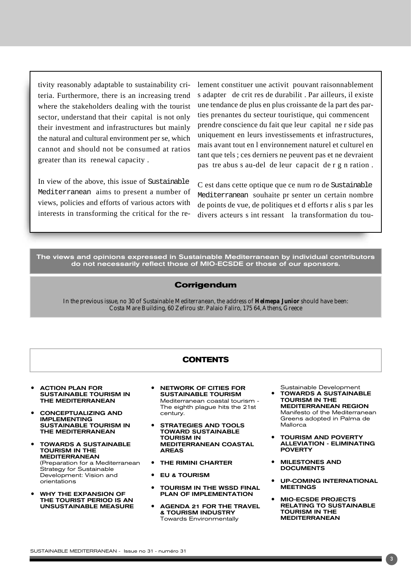tivity reasonably adaptable to sustainability criteria. Furthermore, there is an increasing trend where the stakeholders dealing with the tourist sector, understand that their capital is not only their investment and infrastructures but mainly the natural and cultural environment per se, which cannot and should not be consumed at ratios greater than its renewal capacity .

In view of the above, this issue of Sustainable Mediterranean aims to present a number of views, policies and efforts of various actors with interests in transforming the critical for the relement constituer une activit pouvant raisonnablement s adapter de crit res de durabilit . Par ailleurs, il existe une tendance de plus en plus croissante de la part des parties prenantes du secteur touristique, qui commencent prendre conscience du fait que leur capital ne r side pas uniquement en leurs investissements et infrastructures, mais avant tout en l environnement naturel et culturel en tant que tels ; ces derniers ne peuvent pas et ne devraient pas tre abus s au-del de leur capacit de r g n ration.

C est dans cette optique que ce num ro de Sustainable Mediterranean souhaite pr senter un certain nombre de points de vue, de politiques et d efforts r alis s par les divers acteurs s int ressant la transformation du tou-

The views and opinions expressed in Sustainable Mediterranean by individual contributors do not necessarily reflect those of MIO-ECSDE or those of our sponsors.

#### **Corrigendum**

*In the previous issue, no 30 of Sustainable Mediterranean, the address of Helmepa Junior should have been: Costa Mare Building, 60 Zefirou str. Palaio Faliro, 175 64, Athens, Greece*

#### **CONTENTS**

- **ACTION PLAN FOR** SUSTAINABLE TOURISM IN THE MEDITERRANEAN
- ñ CONCEPTUALIZING AND IMPLEMENTING SUSTAINABLE TOURISM IN THE MEDITERRANEAN
- TOWARDS A SUSTAINABLE TOURISM IN THE MEDITERRANEAN (Preparation for a Mediterranean Strategy for Sustainable Development: Vision and orientations
- WHY THE EXPANSION OF THE TOURIST PERIOD IS AN UNSUSTAINABLE MEASURE
- **NETWORK OF CITIES FOR** SUSTAINABLE TOURISM Mediterranean coastal tourism - The eighth plague hits the 21st century.
- **STRATEGIES AND TOOLS** TOWARD SUSTAINABLE TOURISM IN MEDITERRANEAN COASTAL AREAS
- THE RIMINI CHARTER
- ñ EU & TOURISM
- TOURISM IN THE WSSD FINAL PLAN OF IMPLEMENTATION
- **AGENDA 21 FOR THE TRAVEL** & TOURISM INDUSTRY Towards Environmentally

Sustainable Development • TOWARDS A SUSTAINABLE

- TOURISM IN THE MEDITERRANEAN REGION Manifesto of the Mediterranean Greens adopted in Palma de Mallorca
- **TOURISM AND POVERTY** ALLEVIATION - ELIMINATING POVERTY
- **MILESTONES AND DOCUMENTS**
- **UP-COMING INTERNATIONAL MEETINGS**
- ñ MIO-ECSDE PROJECTS **RELATING TO SUSTAINABLE** TOURISM IN THE MEDITERRANEAN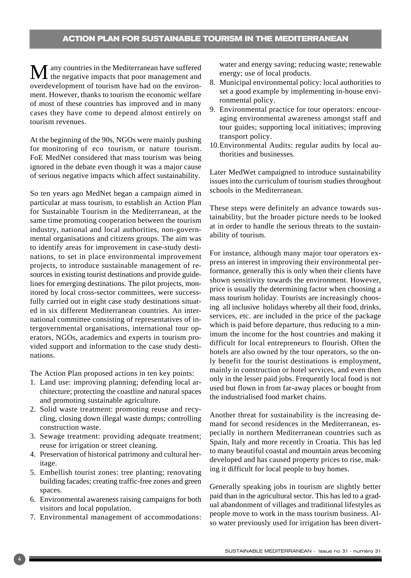$\bf{M}$  any countries in the Mediterranean have suffered the negative impacts that poor management and overdevelopment of tourism have had on the environment. However, thanks to tourism the economic welfare of most of these countries has improved and in many cases they have come to depend almost entirely on tourism revenues.

At the beginning of the 90s, NGOs were mainly pushing for monitoring of eco tourism, or nature tourism. FoE MedNet considered that mass tourism was being ignored in the debate even though it was a major cause of serious negative impacts which affect sustainability.

So ten years ago MedNet began a campaign aimed in particular at mass tourism, to establish an Action Plan for Sustainable Tourism in the Mediterranean, at the same time promoting cooperation between the tourism industry, national and local authorities, non-governmental organisations and citizens groups. The aim was to identify areas for improvement in case-study destinations, to set in place environmental improvement projects, to introduce sustainable management of resources in existing tourist destinations and provide guidelines for emerging destinations. The pilot projects, monitored by local cross-sector committees, were successfully carried out in eight case study destinations situated in six different Mediterranean countries. An international committee consisting of representatives of intergovernmental organisations, international tour operators, NGOs, academics and experts in tourism provided support and information to the case study destinations.

The Action Plan proposed actions in ten key points:

- 1. Land use: improving planning; defending local architecture; protecting the coastline and natural spaces and promoting sustainable agriculture.
- 2. Solid waste treatment: promoting reuse and recycling, closing down illegal waste dumps; controlling construction waste.
- 3. Sewage treatment: providing adequate treatment; reuse for irrigation or street cleaning.
- 4. Preservation of historical patrimony and cultural heritage.
- 5. Embellish tourist zones: tree planting; renovating building facades; creating traffic-free zones and green spaces.
- 6. Environmental awareness raising campaigns for both visitors and local population.
- 7. Environmental management of accommodations:

water and energy saving; reducing waste; renewable energy; use of local products.

- 8. Municipal environmental policy: local authorities to set a good example by implementing in-house environmental policy.
- 9. Environmental practice for tour operators: encouraging environmental awareness amongst staff and tour guides; supporting local initiatives; improving transport policy.
- 10.Environmental Audits: regular audits by local authorities and businesses.

Later MedWet campaigned to introduce sustainability issues into the curriculum of tourism studies throughout schools in the Mediterranean.

These steps were definitely an advance towards sustainability, but the broader picture needs to be looked at in order to handle the serious threats to the sustainability of tourism.

For instance, although many major tour operators express an interest in improving their environmental performance, generally this is only when their clients have shown sensitivity towards the environment. However, price is usually the determining factor when choosing a mass tourism holiday. Tourists are increasingly choosing all inclusive holidays whereby all their food, drinks, services, etc. are included in the price of the package which is paid before departure, thus reducing to a minimum the income for the host countries and making it difficult for local entrepreneurs to flourish. Often the hotels are also owned by the tour operators, so the only benefit for the tourist destinations is employment, mainly in construction or hotel services, and even then only in the lesser paid jobs. Frequently local food is not used but flown in from far-away places or bought from the industrialised food market chains.

Another threat for sustainability is the increasing demand for second residences in the Mediterranean, especially in northern Mediterranean countries such as Spain, Italy and more recently in Croatia. This has led to many beautiful coastal and mountain areas becoming developed and has caused property prices to rise, making it difficult for local people to buy homes.

Generally speaking jobs in tourism are slightly better paid than in the agricultural sector. This has led to a gradual abandonment of villages and traditional lifestyles as people move to work in the mass tourism business. Also water previously used for irrigation has been divert-

4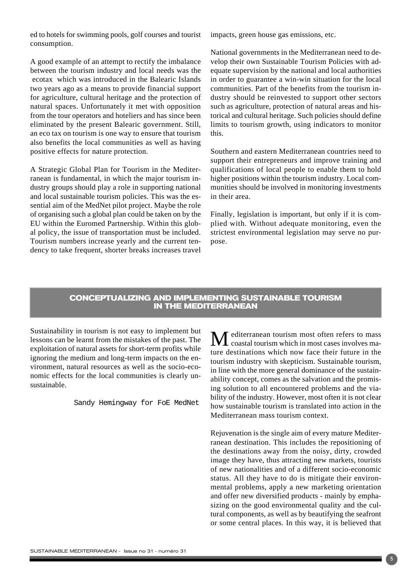ed to hotels for swimming pools, golf courses and tourist consumption.

A good example of an attempt to rectify the imbalance between the tourism industry and local needs was the ecotax which was introduced in the Balearic Islands two years ago as a means to provide financial support for agriculture, cultural heritage and the protection of natural spaces. Unfortunately it met with opposition from the tour operators and hoteliers and has since been eliminated by the present Balearic government. Still, an eco tax on tourism is one way to ensure that tourism also benefits the local communities as well as having positive effects for nature protection.

A Strategic Global Plan for Tourism in the Mediterranean is fundamental, in which the major tourism industry groups should play a role in supporting national and local sustainable tourism policies. This was the essential aim of the MedNet pilot project. Maybe the role of organising such a global plan could be taken on by the EU within the Euromed Partnership. Within this global policy, the issue of transportation must be included. Tourism numbers increase yearly and the current tendency to take frequent, shorter breaks increases travel impacts, green house gas emissions, etc.

National governments in the Mediterranean need to develop their own Sustainable Tourism Policies with adequate supervision by the national and local authorities in order to guarantee a win-win situation for the local communities. Part of the benefits from the tourism industry should be reinvested to support other sectors such as agriculture, protection of natural areas and historical and cultural heritage. Such policies should define limits to tourism growth, using indicators to monitor this.

Southern and eastern Mediterranean countries need to support their entrepreneurs and improve training and qualifications of local people to enable them to hold higher positions within the tourism industry. Local communities should be involved in monitoring investments in their area.

Finally, legislation is important, but only if it is complied with. Without adequate monitoring, even the strictest environmental legislation may serve no purpose.

#### **CONCEPTUALIZING AND IMPLEMENTING SUSTAINABLE TOURISM IN THE MEDITERRANEAN**

Sustainability in tourism is not easy to implement but lessons can be learnt from the mistakes of the past. The exploitation of natural assets for short-term profits while ignoring the medium and long-term impacts on the environment, natural resources as well as the socio-economic effects for the local communities is clearly unsustainable.

Sandy Hemingway for FoE MedNet

Mediterranean tourism most often refers to mass coastal tourism which in most cases involves mature destinations which now face their future in the tourism industry with skepticism. Sustainable tourism, in line with the more general dominance of the sustainability concept, comes as the salvation and the promising solution to all encountered problems and the viability of the industry. However, most often it is not clear how sustainable tourism is translated into action in the Mediterranean mass tourism context.

Rejuvenation is the single aim of every mature Mediterranean destination. This includes the repositioning of the destinations away from the noisy, dirty, crowded image they have, thus attracting new markets, tourists of new nationalities and of a different socio-economic status. All they have to do is mitigate their environmental problems, apply a new marketing orientation and offer new diversified products - mainly by emphasizing on the good environmental quality and the cultural components, as well as by beautifying the seafront or some central places. In this way, it is believed that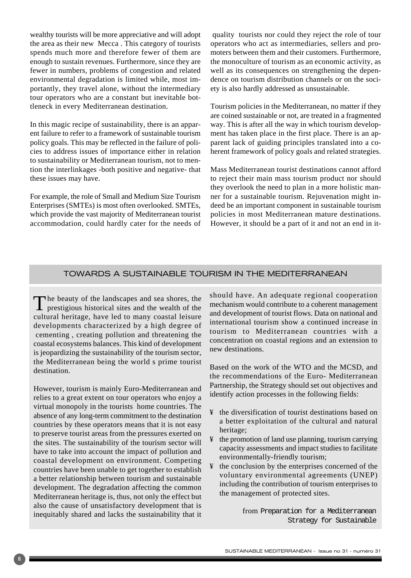wealthy tourists will be more appreciative and will adopt the area as their new Mecca . This category of tourists spends much more and therefore fewer of them are enough to sustain revenues. Furthermore, since they are fewer in numbers, problems of congestion and related environmental degradation is limited while, most importantly, they travel alone, without the intermediary tour operators who are a constant but inevitable bottleneck in every Mediterranean destination.

In this magic recipe of sustainability, there is an apparent failure to refer to a framework of sustainable tourism policy goals. This may be reflected in the failure of policies to address issues of importance either in relation to sustainability or Mediterranean tourism, not to mention the interlinkages -both positive and negative- that these issues may have.

For example, the role of Small and Medium Size Tourism Enterprises (SMTEs) is most often overlooked. SMTEs, which provide the vast majority of Mediterranean tourist accommodation, could hardly cater for the needs of

quality tourists nor could they reject the role of tour operators who act as intermediaries, sellers and promoters between them and their customers. Furthermore, the monoculture of tourism as an economic activity, as well as its consequences on strengthening the dependence on tourism distribution channels or on the society is also hardly addressed as unsustainable.

Tourism policies in the Mediterranean, no matter if they are coined sustainable or not, are treated in a fragmented way. This is after all the way in which tourism development has taken place in the first place. There is an apparent lack of guiding principles translated into a coherent framework of policy goals and related strategies.

Mass Mediterranean tourist destinations cannot afford to reject their main mass tourism product nor should they overlook the need to plan in a more holistic manner for a sustainable tourism. Rejuvenation might indeed be an important component in sustainable tourism policies in most Mediterranean mature destinations. However, it should be a part of it and not an end in it-

#### TOWARDS A SUSTAINABLE TOURISM IN THE MEDITERRANEAN

The beauty of the landscapes and sea shores, the  $\blacksquare$  prestigious historical sites and the wealth of the cultural heritage, have led to many coastal leisure developments characterized by a high degree of cementing , creating pollution and threatening the coastal ecosystems balances. This kind of development is jeopardizing the sustainability of the tourism sector, the Mediterranean being the world s prime tourist destination.

However, tourism is mainly Euro-Mediterranean and relies to a great extent on tour operators who enjoy a virtual monopoly in the tourists home countries. The absence of any long-term commitment to the destination countries by these operators means that it is not easy to preserve tourist areas from the pressures exerted on the sites. The sustainability of the tourism sector will have to take into account the impact of pollution and coastal development on environment. Competing countries have been unable to get together to establish a better relationship between tourism and sustainable development. The degradation affecting the common Mediterranean heritage is, thus, not only the effect but also the cause of unsatisfactory development that is inequitably shared and lacks the sustainability that it should have. An adequate regional cooperation mechanism would contribute to a coherent management and development of tourist flows. Data on national and international tourism show a continued increase in tourism to Mediterranean countries with a concentration on coastal regions and an extension to new destinations.

Based on the work of the WTO and the MCSD, and the recommendations of the Euro- Mediterranean Partnership, the Strategy should set out objectives and identify action processes in the following fields:

- ¥ the diversification of tourist destinations based on a better exploitation of the cultural and natural heritage;
- ¥ the promotion of land use planning, tourism carrying capacity assessments and impact studies to facilitate environmentally-friendly tourism;
- ¥ the conclusion by the enterprises concerned of the voluntary environmental agreements (UNEP) including the contribution of tourism enterprises to the management of protected sites.

from Preparation for a Mediterranean Strategy for Sustainable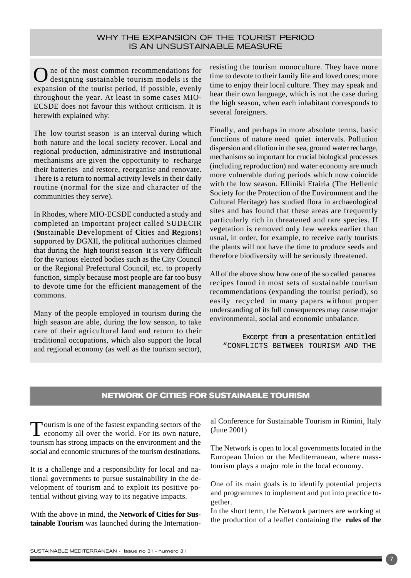#### WHY THE EXPANSION OF THE TOURIST PERIOD IS AN UNSUSTAINABLE MEASURE

One of the most common recommendations for designing sustainable tourism models is the expansion of the tourist period, if possible, evenly throughout the year. At least in some cases MIO-ECSDE does not favour this without criticism. It is herewith explained why:

The low tourist season is an interval during which both nature and the local society recover. Local and regional production, administrative and institutional mechanisms are given the opportunity to recharge their batteries and restore, reorganise and renovate. There is a return to normal activity levels in their daily routine (normal for the size and character of the communities they serve).

In Rhodes, where MIO-ECSDE conducted a study and completed an important project called SUDECIR (**Su**stainable **De**velopment of **Ci**ties and **R**egions) supported by DGXII, the political authorities claimed that during the high tourist season it is very difficult for the various elected bodies such as the City Council or the Regional Prefectural Council, etc. to properly function, simply because most people are far too busy to devote time for the efficient management of the commons.

Many of the people employed in tourism during the high season are able, during the low season, to take care of their agricultural land and return to their traditional occupations, which also support the local and regional economy (as well as the tourism sector), resisting the tourism monoculture. They have more time to devote to their family life and loved ones; more time to enjoy their local culture. They may speak and hear their own language, which is not the case during the high season, when each inhabitant corresponds to several foreigners.

Finally, and perhaps in more absolute terms, basic functions of nature need quiet intervals. Pollution dispersion and dilution in the sea, ground water recharge, mechanisms so important for crucial biological processes (including reproduction) and water economy are much more vulnerable during periods which now coincide with the low season. Elliniki Etairia (The Hellenic Society for the Protection of the Environment and the Cultural Heritage) has studied flora in archaeological sites and has found that these areas are frequently particularly rich in threatened and rare species. If vegetation is removed only few weeks earlier than usual, in order, for example, to receive early tourists the plants will not have the time to produce seeds and therefore biodiversity will be seriously threatened.

All of the above show how one of the so called panacea recipes found in most sets of sustainable tourism recommendations (expanding the tourist period), so easily recycled in many papers without proper understanding of its full consequences may cause major environmental, social and economic unbalance.

Excerpt from a presentation entitled "CONFLICTS BETWEEN TOURISM AND THE

#### **NETWORK OF CITIES FOR SUSTAINABLE TOURISM**

Tourism is one of the fastest expanding sectors of the economy all over the world. For its own nature, tourism has strong impacts on the environment and the social and economic structures of the tourism destinations.

It is a challenge and a responsibility for local and national governments to pursue sustainability in the development of tourism and to exploit its positive potential without giving way to its negative impacts.

With the above in mind, the **Network of Cities for Sustainable Tourism** was launched during the International Conference for Sustainable Tourism in Rimini, Italy (June 2001)

The Network is open to local governments located in the European Union or the Mediterranean, where masstourism plays a major role in the local economy.

One of its main goals is to identify potential projects and programmes to implement and put into practice together.

In the short term, the Network partners are working at the production of a leaflet containing the **rules of the**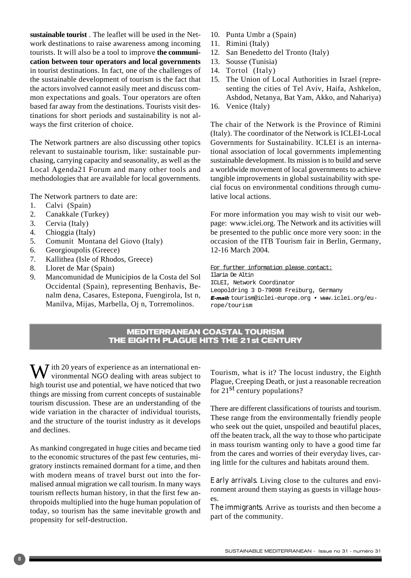**sustainable tourist** . The leaflet will be used in the Network destinations to raise awareness among incoming tourists. It will also be a tool to improve **the communication between tour operators and local governments** in tourist destinations. In fact, one of the challenges of the sustainable development of tourism is the fact that the actors involved cannot easily meet and discuss common expectations and goals. Tour operators are often based far away from the destinations. Tourists visit destinations for short periods and sustainability is not always the first criterion of choice.

The Network partners are also discussing other topics relevant to sustainable tourism, like: sustainable purchasing, carrying capacity and seasonality, as well as the Local Agenda21 Forum and many other tools and methodologies that are available for local governments.

The Network partners to date are:

- 1. Calvi (Spain)
- 2. Canakkale (Turkey)
- 3. Cervia (Italy)
- 4. Chioggia (Italy)
- 5. Comunit Montana del Giovo (Italy)
- 6. Georgioupolis (Greece)
- 7. Kallithea (Isle of Rhodos, Greece)
- 8. Lloret de Mar (Spain)
- 9. Mancomunidad de Municipios de la Costa del Sol Occidental (Spain), representing Benhavis, Benalm dena, Casares, Estepona, Fuengirola, Ist n, Manilva, Mijas, Marbella, Oj n, Torremolinos.
- 10. Punta Umbr a (Spain)
- 11. Rimini (Italy)
- 12. San Benedetto del Tronto (Italy)
- 13. Sousse (Tunisia)
- 14. Tortol (Italy)
- 15. The Union of Local Authorities in Israel (representing the cities of Tel Aviv, Haifa, Ashkelon, Ashdod, Netanya, Bat Yam, Akko, and Nahariya)
- 16. Venice (Italy)

The chair of the Network is the Province of Rimini (Italy). The coordinator of the Network is ICLEI-Local Governments for Sustainability. ICLEI is an international association of local governments implementing sustainable development. Its mission is to build and serve a worldwide movement of local governments to achieve tangible improvements in global sustainability with special focus on environmental conditions through cumulative local actions.

For more information you may wish to visit our webpage: www.iclei.org. The Network and its activities will be presented to the public once more very soon: in the occasion of the ITB Tourism fair in Berlin, Germany, 12-16 March 2004.

For further information please contact: Ilaria De Altin ICLEI, Network Coordinator Leopoldring 3 D-79098 Freiburg, Germany E-mail: tourism@iclei-europe.org • www.iclei.org/europe/tourism

#### **MEDITERRANEAN COASTAL TOURISM THE EIGHTH PLAGUE HITS THE 21st CENTURY**

 $\sum$  *T* ith 20 years of experience as an international environmental NGO dealing with areas subject to high tourist use and potential, we have noticed that two things are missing from current concepts of sustainable tourism discussion. These are an understanding of the wide variation in the character of individual tourists, and the structure of the tourist industry as it develops and declines.

As mankind congregated in huge cities and became tied to the economic structures of the past few centuries, migratory instincts remained dormant for a time, and then with modern means of travel burst out into the formalised annual migration we call tourism. In many ways tourism reflects human history, in that the first few anthropoids multiplied into the huge human population of today, so tourism has the same inevitable growth and propensity for self-destruction.

Tourism, what is it? The locust industry, the Eighth Plague, Creeping Death, or just a reasonable recreation for 21st century populations?

There are different classifications of tourists and tourism. These range from the environmentally friendly people who seek out the quiet, unspoiled and beautiful places, off the beaten track, all the way to those who participate in mass tourism wanting only to have a good time far from the cares and worries of their everyday lives, caring little for the cultures and habitats around them.

*Early arrivals.* Living close to the cultures and environment around them staying as guests in village houses.

*The immigrants.* Arrive as tourists and then become a part of the community.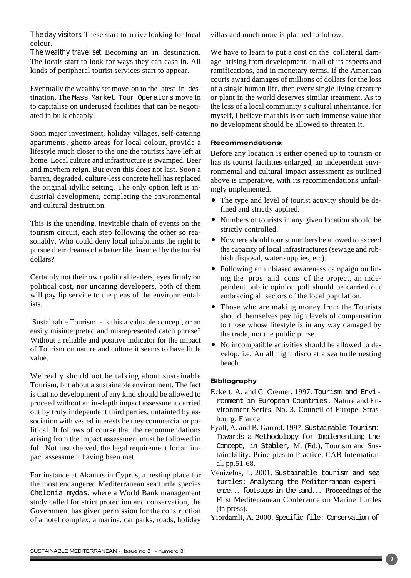*The day visitors.* These start to arrive looking for local colour.

*The wealthy travel set.* Becoming an in destination. The locals start to look for ways they can cash in. All kinds of peripheral tourist services start to appear.

Eventually the wealthy set move-on to the latest in destination. The Mass Market Tour Operators move in to capitalise on underused facilities that can be negotiated in bulk cheaply.

Soon major investment, holiday villages, self-catering apartments, ghetto areas for local colour, provide a lifestyle much closer to the one the tourists have left at home. Local culture and infrastructure is swamped. Beer and mayhem reign. But even this does not last. Soon a barren, degraded, culture-less concrete hell has replaced the original idyllic setting. The only option left is industrial development, completing the environmental and cultural destruction.

This is the unending, inevitable chain of events on the tourism circuit, each step following the other so reasonably. Who could deny local inhabitants the right to pursue their dreams of a better life financed by the tourist dollars?

Certainly not their own political leaders, eyes firmly on political cost, nor uncaring developers, both of them will pay lip service to the pleas of the environmentalists.

Sustainable Tourism - is this a valuable concept, or an easily misinterpreted and misrepresented catch phrase? Without a reliable and positive indicator for the impact of Tourism on nature and culture it seems to have little value.

We really should not be talking about sustainable Tourism, but about a sustainable environment. The fact is that no development of any kind should be allowed to proceed without an in-depth impact assessment carried out by truly independent third parties, untainted by association with vested interests be they commercial or political. It follows of course that the recommendations arising from the impact assessment must be followed in full. Not just shelved, the legal requirement for an impact assessment having been met.

For instance at Akamas in Cyprus, a nesting place for the most endangered Mediterranean sea turtle species Chelonia mydas, where a World Bank management study called for strict protection and conservation, the Government has given permission for the construction of a hotel complex, a marina, car parks, roads, holiday villas and much more is planned to follow.

We have to learn to put a cost on the collateral damage arising from development, in all of its aspects and ramifications, and in monetary terms. If the American courts award damages of millions of dollars for the loss of a single human life, then every single living creature or plant in the world deserves similar treatment. As to the loss of a local community s cultural inheritance, for myself, I believe that this is of such immense value that no development should be allowed to threaten it.

#### Recommendations:

Before any location is either opened up to tourism or has its tourist facilities enlarged, an independent environmental and cultural impact assessment as outlined above is imperative, with its recommendations unfailingly implemented.

- The type and level of tourist activity should be defined and strictly applied.
- Numbers of tourists in any given location should be strictly controlled.
- Nowhere should tourist numbers be allowed to exceed the capacity of local infrastructures (sewage and rubbish disposal, water supplies, etc).
- Following an unbiased awareness campaign outlining the pros and cons of the project, an independent public opinion poll should be carried out embracing all sectors of the local population.
- Those who are making money from the Tourists should themselves pay high levels of compensation to those whose lifestyle is in any way damaged by the trade, not the public purse.
- No incompatible activities should be allowed to develop. i.e. An all night disco at a sea turtle nesting beach.

#### **Bibliography**

- Eckert, A. and C. Cremer. 1997. Tourism and Environment in European Countries. Nature and Environment Series, No. 3. Council of Europe, Strasbourg, France.
- Fyall, A. and B. Garrod. 1997. Sustainable Tourism: Towards a Methodology for Implementing the Concept, in Stabler, M. (Ed.), Tourism and Sustainability: Principles to Practice, CAB International, pp.51-68.
- Venizelos, L. 2001. Sustainable tourism and sea turtles: Analysing the Mediterranean experience... footsteps in the sand... Proceedings of the First Mediterranean Conference on Marine Turtles (in press).
- Yiordamli, A. 2000. Specific file: Conservation of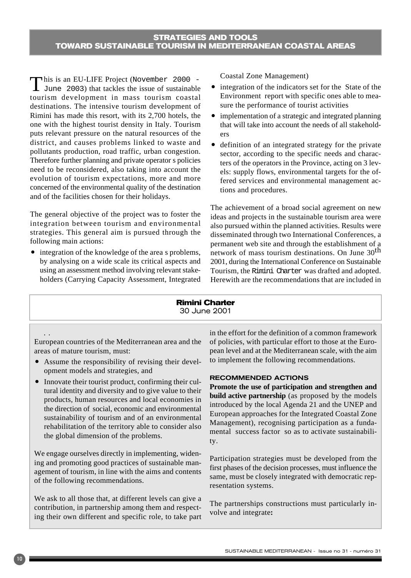This is an EU-LIFE Project (November 2000 -<br>June 2003) that tackles the issue of sustainable tourism development in mass tourism coastal destinations. The intensive tourism development of Rimini has made this resort, with its 2,700 hotels, the one with the highest tourist density in Italy. Tourism puts relevant pressure on the natural resources of the district, and causes problems linked to waste and pollutants production, road traffic, urban congestion. Therefore further planning and private operator s policies need to be reconsidered, also taking into account the evolution of tourism expectations, more and more concerned of the environmental quality of the destination and of the facilities chosen for their holidays.

The general objective of the project was to foster the integration between tourism and environmental strategies. This general aim is pursued through the following main actions:

• integration of the knowledge of the area s problems, by analysing on a wide scale its critical aspects and using an assessment method involving relevant stakeholders (Carrying Capacity Assessment, Integrated Coastal Zone Management)

- integration of the indicators set for the State of the Environment report with specific ones able to measure the performance of tourist activities
- implementation of a strategic and integrated planning that will take into account the needs of all stakeholders
- definition of an integrated strategy for the private sector, according to the specific needs and characters of the operators in the Province, acting on 3 levels: supply flows, environmental targets for the offered services and environmental management actions and procedures.

The achievement of a broad social agreement on new ideas and projects in the sustainable tourism area were also pursued within the planned activities. Results were disseminated through two International Conferences, a permanent web site and through the establishment of a network of mass tourism destinations. On June 30<sup>th</sup> 2001, during the International Conference on Sustainable Tourism, the Rimini Charter was drafted and adopted. Herewith are the recommendations that are included in

#### **Rimini Charter** 30 June 2001

#### ..

European countries of the Mediterranean area and the areas of mature tourism, must:

- Assume the responsibility of revising their development models and strategies, and
- Innovate their tourist product, confirming their cultural identity and diversity and to give value to their products, human resources and local economies in the direction of social, economic and environmental sustainability of tourism and of an environmental rehabilitation of the territory able to consider also the global dimension of the problems.

We engage ourselves directly in implementing, widening and promoting good practices of sustainable management of tourism, in line with the aims and contents of the following recommendations.

We ask to all those that, at different levels can give a contribution, in partnership among them and respecting their own different and specific role, to take part in the effort for the definition of a common framework of policies, with particular effort to those at the European level and at the Mediterranean scale, with the aim to implement the following recommendations.

#### RECOMMENDED ACTIONS

**Promote the use of participation and strengthen and build active partnership** (as proposed by the models introduced by the local Agenda 21 and the UNEP and European approaches for the Integrated Coastal Zone Management), recognising participation as a fundamental success factor so as to activate sustainability.

Participation strategies must be developed from the first phases of the decision processes, must influence the same, must be closely integrated with democratic representation systems.

The partnerships constructions must particularly involve and integrate**:**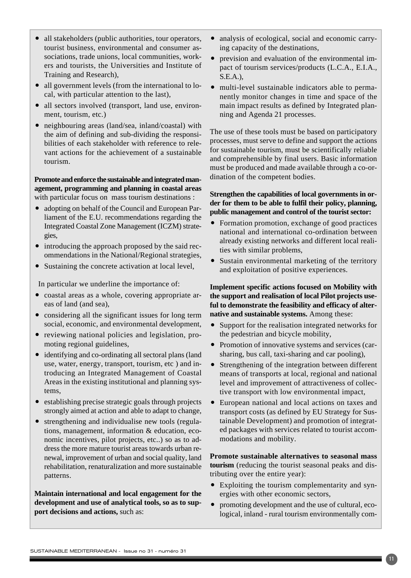**Maintain international and local engagement for the development and use of analytical tools, so as to sup-**

**port decisions and actions,** such as:

- ers and tourists, the Universities and Institute of Training and Research), all government levels (from the international to local, with particular attention to the last), • all sectors involved (transport, land use, environment, tourism, etc.)  $\bullet$  neighbouring areas (land/sea, inland/coastal) with
- the aim of defining and sub-dividing the responsibilities of each stakeholder with reference to relevant actions for the achievement of a sustainable tourism.

**Promote and enforce the sustainable and integrated management, programming and planning in coastal areas** with particular focus on mass tourism destinations :

- adopting on behalf of the Council and European Parliament of the E.U. recommendations regarding the Integrated Coastal Zone Management (ICZM) strategies,
- introducing the approach proposed by the said recommendations in the National/Regional strategies,
- Sustaining the concrete activation at local level,

In particular we underline the importance of:

- coastal areas as a whole, covering appropriate areas of land (and sea),
- considering all the significant issues for long term social, economic, and environmental development,
- reviewing national policies and legislation, promoting regional guidelines,
- identifying and co-ordinating all sectoral plans (land use, water, energy, transport, tourism, etc ) and introducing an Integrated Management of Coastal Areas in the existing institutional and planning systems,
- establishing precise strategic goals through projects strongly aimed at action and able to adapt to change,
- strengthening and individualise new tools (regulations, management, information & education, economic incentives, pilot projects, etc..) so as to address the more mature tourist areas towards urban renewal, improvement of urban and social quality, land rehabilitation, renaturalization and more sustainable patterns.

all stakeholders (public authorities, tour operators, tourist business, environmental and consumer associations, trade unions, local communities, work-• analysis of ecological, social and economic carrying capacity of the destinations,

- prevision and evaluation of the environmental impact of tourism services/products (L.C.A., E.I.A., S.E.A.),
- multi-level sustainable indicators able to permanently monitor changes in time and space of the main impact results as defined by Integrated planning and Agenda 21 processes.

The use of these tools must be based on participatory processes, must serve to define and support the actions for sustainable tourism, must be scientifically reliable and comprehensible by final users. Basic information must be produced and made available through a co-ordination of the competent bodies.

#### **Strengthen the capabilities of local governments in order for them to be able to fulfil their policy, planning, public management and control of the tourist sector:**

- Formation promotion, exchange of good practices national and international co-ordination between already existing networks and different local realities with similar problems,
- Sustain environmental marketing of the territory and exploitation of positive experiences.

**Implement specific actions focused on Mobility with the support and realisation of local Pilot projects useful to demonstrate the feasibility and efficacy of alternative and sustainable systems.** Among these:

- Support for the realisation integrated networks for the pedestrian and bicycle mobility,
- Promotion of innovative systems and services (carsharing, bus call, taxi-sharing and car pooling),
- Strengthening of the integration between different means of transports at local, regional and national level and improvement of attractiveness of collective transport with low environmental impact,
- European national and local actions on taxes and transport costs (as defined by EU Strategy for Sustainable Development) and promotion of integrated packages with services related to tourist accommodations and mobility.

**Promote sustainable alternatives to seasonal mass tourism** (reducing the tourist seasonal peaks and distributing over the entire year):

- Exploiting the tourism complementarity and synergies with other economic sectors,
- promoting development and the use of cultural, ecological, inland - rural tourism environmentally com-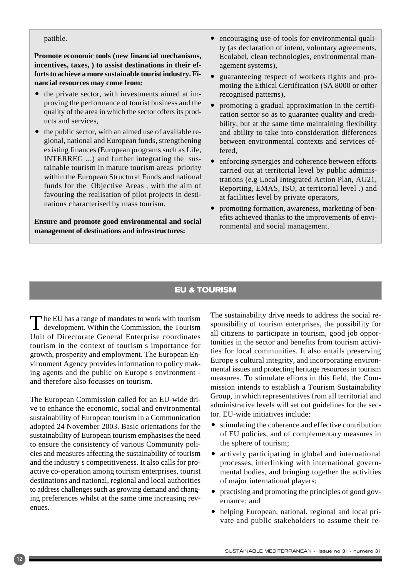#### patible.

**Promote economic tools (new financial mechanisms, incentives, taxes, ) to assist destinations in their efforts to achieve a more sustainable tourist industry. Financial resources may come from:** 

- the private sector, with investments aimed at improving the performance of tourist business and the quality of the area in which the sector offers its products and services,
- $\bullet$  the public sector, with an aimed use of available regional, national and European funds, strengthening existing finances (European programs such as Life, INTERREG ...) and further integrating the sustainable tourism in mature tourism areas priority within the European Structural Funds and national funds for the Objective Areas , with the aim of favouring the realisation of pilot projects in destinations characterised by mass tourism.

**Ensure and promote good environmental and social management of destinations and infrastructures:**

- encouraging use of tools for environmental quality (as declaration of intent, voluntary agreements, Ecolabel, clean technologies, environmental management systems),
- guaranteeing respect of workers rights and promoting the Ethical Certification (SA 8000 or other recognised patterns),
- $\bullet$  promoting a gradual approximation in the certification sector so as to guarantee quality and credibility, but at the same time maintaining flexibility and ability to take into consideration differences between environmental contexts and services offered,
- enforcing synergies and coherence between efforts carried out at territorial level by public administrations (e.g Local Integrated Action Plan, AG21, Reporting, EMAS, ISO, at territorial level .) and at facilities level by private operators,
- promoting formation, awareness, marketing of benefits achieved thanks to the improvements of environmental and social management.

#### **EU & TOURISM**

The EU has a range of mandates to work with tourism<br>development. Within the Commission, the Tourism Unit of Directorate General Enterprise coordinates tourism in the context of tourism s importance for growth, prosperity and employment. The European Environment Agency provides information to policy making agents and the public on Europe s environment and therefore also focusses on tourism.

The European Commission called for an EU-wide drive to enhance the economic, social and environmental sustainability of European tourism in a Communication adopted 24 November 2003. Basic orientations for the sustainability of European tourism emphasises the need to ensure the consistency of various Community policies and measures affecting the sustainability of tourism and the industry s competitiveness. It also calls for proactive co-operation among tourism enterprises, tourist destinations and national, regional and local authorities to address challenges such as growing demand and changing preferences whilst at the same time increasing revenues.

The sustainability drive needs to address the social responsibility of tourism enterprises, the possibility for all citizens to participate in tourism, good job opportunities in the sector and benefits from tourism activities for local communities. It also entails preserving Europe s cultural integrity, and incorporating environmental issues and protecting heritage resources in tourism measures. To stimulate efforts in this field, the Commission intends to establish a Tourism Sustainability Group, in which representatives from all territorial and administrative levels will set out guidelines for the sector. EU-wide initiatives include:

- $\bullet$  stimulating the coherence and effective contribution of EU policies, and of complementary measures in the sphere of tourism;
- actively participating in global and international processes, interlinking with international governmental bodies, and bringing together the activities of major international players;
- practising and promoting the principles of good governance; and
- helping European, national, regional and local private and public stakeholders to assume their re-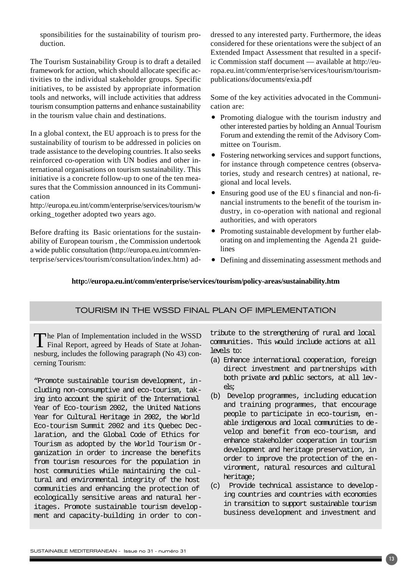sponsibilities for the sustainability of tourism production.

The Tourism Sustainability Group is to draft a detailed framework for action, which should allocate specific activities to the individual stakeholder groups. Specific initiatives, to be assisted by appropriate information tools and networks, will include activities that address tourism consumption patterns and enhance sustainability in the tourism value chain and destinations.

In a global context, the EU approach is to press for the sustainability of tourism to be addressed in policies on trade assistance to the developing countries. It also seeks reinforced co-operation with UN bodies and other international organisations on tourism sustainability. This initiative is a concrete follow-up to one of the ten measures that the Commission announced in its Communication

http://europa.eu.int/comm/enterprise/services/tourism/w orking\_together adopted two years ago.

Before drafting its Basic orientations for the sustainability of European tourism , the Commission undertook a wide public consultation (http://europa.eu.int/comm/enterprise/services/tourism/consultation/index.htm) addressed to any interested party. Furthermore, the ideas considered for these orientations were the subject of an Extended Impact Assessment that resulted in a specific Commission staff document — available at http://europa.eu.int/comm/enterprise/services/tourism/tourismpublications/documents/exia.pdf

Some of the key activities advocated in the Communication are:

- Promoting dialogue with the tourism industry and other interested parties by holding an Annual Tourism Forum and extending the remit of the Advisory Committee on Tourism.
- Fostering networking services and support functions, for instance through competence centres (observatories, study and research centres) at national, regional and local levels.
- Ensuring good use of the EU s financial and non-financial instruments to the benefit of the tourism industry, in co-operation with national and regional authorities, and with operators
- Promoting sustainable development by further elaborating on and implementing the Agenda 21 guidelines
- Defining and disseminating assessment methods and

#### **http://europa.eu.int/comm/enterprise/services/tourism/policy-areas/sustainability.htm**

#### TOURISM IN THE WSSD FINAL PLAN OF IMPLEMENTATION

The Plan of Implementation included in the WSSD Final Report, agreed by Heads of State at Johannesburg, includes the following paragraph (No 43) concerning Tourism:

"Promote sustainable tourism development, including non-consumptive and eco-tourism, taking into account the spirit of the International Year of Eco-tourism 2002, the United Nations Year for Cultural Heritage in 2002, the World Eco-tourism Summit 2002 and its Quebec Declaration, and the Global Code of Ethics for Tourism as adopted by the World Tourism Organization in order to increase the benefits from tourism resources for the population in host communities while maintaining the cultural and environmental integrity of the host communities and enhancing the protection of ecologically sensitive areas and natural heritages. Promote sustainable tourism development and capacity-building in order to con-

tribute to the strengthening of rural and local communities. This would include actions at all levels to:

- (a) Enhance international cooperation, foreign direct investment and partnerships with both private and public sectors, at all levels;
- (b) Develop programmes, including education and training programmes, that encourage people to participate in eco-tourism, enable indigenous and local communities to develop and benefit from eco-tourism, and enhance stakeholder cooperation in tourism development and heritage preservation, in order to improve the protection of the environment, natural resources and cultural heritage;
- (c) Provide technical assistance to developing countries and countries with economies in transition to support sustainable tourism business development and investment and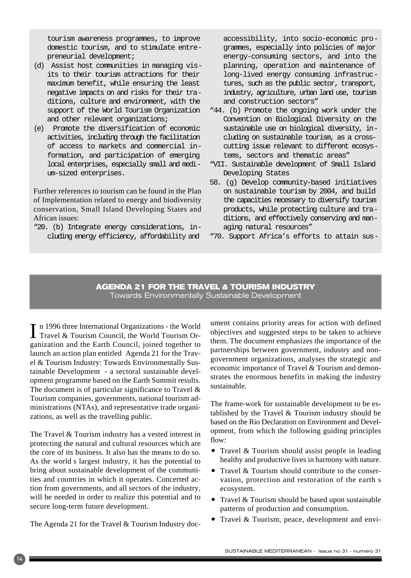tourism awareness programmes, to improve domestic tourism, and to stimulate entrepreneurial development;

- (d) Assist host communities in managing visits to their tourism attractions for their maximum benefit, while ensuring the least negative impacts on and risks for their traditions, culture and environment, with the support of the World Tourism Organization and other relevant organizations;
- (e) Promote the diversification of economic activities, including through the facilitation of access to markets and commercial information, and participation of emerging local enterprises, especially small and medium-sized enterprises.

Further references to tourism can be found in the Plan of Implementation related to energy and biodiversity conservation, Small Island Developing States and African issues:

"20. (b) Integrate energy considerations, including energy efficiency, affordability and

accessibility, into socio-economic programmes, especially into policies of major energy-consuming sectors, and into the planning, operation and maintenance of long-lived energy consuming infrastructures, such as the public sector, transport, industry, agriculture, urban land use, tourism and construction sectors"

- "44. (b) Promote the ongoing work under the Convention on Biological Diversity on the sustainable use on biological diversity, including on sustainable tourism, as a crosscutting issue relevant to different ecosystems, sectors and thematic areas"
- "VII. Sustainable development of Small Island Developing States
- 58. (g) Develop community-based initiatives on sustainable tourism by 2004, and build the capacities necessary to diversify tourism products, while protecting culture and traditions, and effectively conserving and managing natural resources"
- "70. Support Africa's efforts to attain sus-

#### **AGENDA 21 FOR THE TRAVEL & TOURISM INDUSTRY** Towards Environmentally Sustainable Development

I n 1996 three International Organizations - the World<br>Travel & Tourism Council, the World Tourism Or-Travel & Tourism Council, the World Tourism Organization and the Earth Council, joined together to launch an action plan entitled Agenda 21 for the Travel & Tourism Industry: Towards Environmentally Sustainable Development - a sectoral sustainable development programme based on the Earth Summit results. The document is of particular significance to Travel & Tourism companies, governments, national tourism administrations (NTAs), and representative trade organizations, as well as the travelling public.

The Travel & Tourism industry has a vested interest in protecting the natural and cultural resources which are the core of its business. It also has the means to do so. As the world s largest industry, it has the potential to bring about sustainable development of the communities and countries in which it operates. Concerted action from governments, and all sectors of the industry, will be needed in order to realize this potential and to secure long-term future development.

The Agenda 21 for the Travel & Tourism Industry doc-

ument contains priority areas for action with defined objectives and suggested steps to be taken to achieve them. The document emphasizes the importance of the partnerships between government, industry and nongovernment organizations, analyses the strategic and economic importance of Travel & Tourism and demonstrates the enormous benefits in making the industry sustainable.

The frame-work for sustainable development to be established by the Travel & Tourism industry should be based on the Rio Declaration on Environment and Development, from which the following guiding principles flow:

- Travel & Tourism should assist people in leading healthy and productive lives in harmony with nature.
- Travel  $&$  Tourism should contribute to the conservation, protection and restoration of the earth s ecosystem.
- Travel  $&$  Tourism should be based upon sustainable patterns of production and consumption.
- Travel & Tourism, peace, development and envi-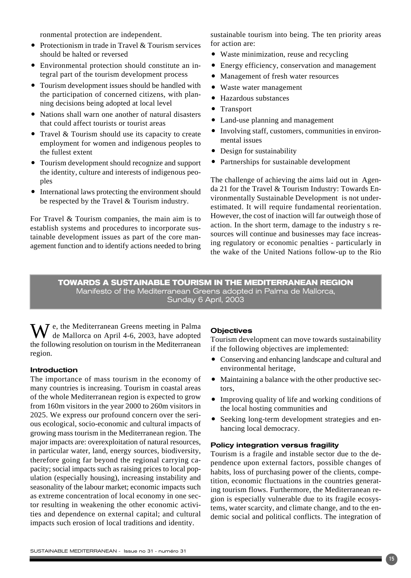ronmental protection are independent.

- Protectionism in trade in Travel & Tourism services should be halted or reversed
- Environmental protection should constitute an integral part of the tourism development process
- Tourism development issues should be handled with the participation of concerned citizens, with planning decisions being adopted at local level
- Nations shall warn one another of natural disasters that could affect tourists or tourist areas
- Travel  $&$  Tourism should use its capacity to create employment for women and indigenous peoples to the fullest extent
- Tourism development should recognize and support the identity, culture and interests of indigenous peoples
- International laws protecting the environment should be respected by the Travel & Tourism industry.

For Travel & Tourism companies, the main aim is to establish systems and procedures to incorporate sustainable development issues as part of the core management function and to identify actions needed to bring sustainable tourism into being. The ten priority areas for action are:

- Waste minimization, reuse and recycling
- Energy efficiency, conservation and management
- Management of fresh water resources
- Waste water management
- Hazardous substances
- Transport
- Land-use planning and management
- Involving staff, customers, communities in environmental issues
- Design for sustainability
- Partnerships for sustainable development

The challenge of achieving the aims laid out in Agenda 21 for the Travel & Tourism Industry: Towards Environmentally Sustainable Development is not underestimated. It will require fundamental reorientation. However, the cost of inaction will far outweigh those of action. In the short term, damage to the industry s resources will continue and businesses may face increasing regulatory or economic penalties - particularly in the wake of the United Nations follow-up to the Rio

#### **TOWARDS A SUSTAINABLE TOURISM IN THE MEDITERRANEAN REGION** Manifesto of the Mediterranean Greens adopted in Palma de Mallorca, Sunday 6 April, 2003

 $\widetilde{W}$  e, the Mediterranean Greens meeting in Palma de Mallorca on April 4-6, 2003, have adopted the following resolution on tourism in the Mediterranean region.

#### Introduction

The importance of mass tourism in the economy of many countries is increasing. Tourism in coastal areas of the whole Mediterranean region is expected to grow from 160m visitors in the year 2000 to 260m visitors in 2025. We express our profound concern over the serious ecological, socio-economic and cultural impacts of growing mass tourism in the Mediterranean region. The major impacts are: overexploitation of natural resources, in particular water, land, energy sources, biodiversity, therefore going far beyond the regional carrying capacity; social impacts such as raising prices to local population (especially housing), increasing instability and seasonality of the labour market; economic impacts such as extreme concentration of local economy in one sector resulting in weakening the other economic activities and dependence on external capital; and cultural impacts such erosion of local traditions and identity.

#### **Objectives**

Tourism development can move towards sustainability if the following objectives are implemented:

- Conserving and enhancing landscape and cultural and environmental heritage,
- Maintaining a balance with the other productive sectors,
- Improving quality of life and working conditions of the local hosting communities and
- ñ Seeking long-term development strategies and enhancing local democracy.

#### Policy integration versus fragility

Tourism is a fragile and instable sector due to the dependence upon external factors, possible changes of habits, loss of purchasing power of the clients, competition, economic fluctuations in the countries generating tourism flows. Furthermore, the Mediterranean region is especially vulnerable due to its fragile ecosystems, water scarcity, and climate change, and to the endemic social and political conflicts. The integration of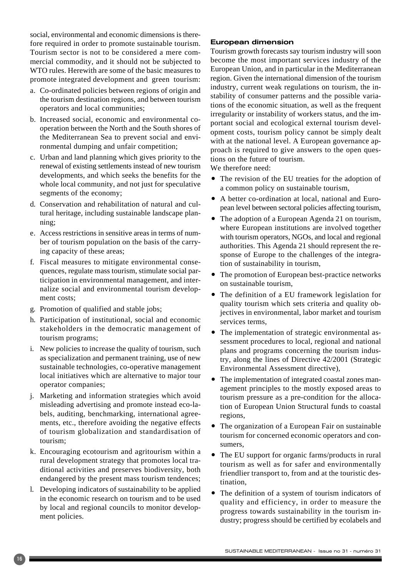social, environmental and economic dimensions is therefore required in order to promote sustainable tourism. Tourism sector is not to be considered a mere commercial commodity, and it should not be subjected to WTO rules. Herewith are some of the basic measures to promote integrated development and green tourism:

- a. Co-ordinated policies between regions of origin and the tourism destination regions, and between tourism operators and local communities;
- b. Increased social, economic and environmental cooperation between the North and the South shores of the Mediterranean Sea to prevent social and environmental dumping and unfair competition;
- c. Urban and land planning which gives priority to the renewal of existing settlements instead of new tourism developments, and which seeks the benefits for the whole local community, and not just for speculative segments of the economy;
- d. Conservation and rehabilitation of natural and cultural heritage, including sustainable landscape planning;
- e. Access restrictions in sensitive areas in terms of number of tourism population on the basis of the carrying capacity of these areas;
- f. Fiscal measures to mitigate environmental consequences, regulate mass tourism, stimulate social participation in environmental management, and internalize social and environmental tourism development costs;
- g. Promotion of qualified and stable jobs;
- h. Participation of institutional, social and economic stakeholders in the democratic management of tourism programs;
- i. New policies to increase the quality of tourism, such as specialization and permanent training, use of new sustainable technologies, co-operative management local initiatives which are alternative to major tour operator companies;
- j. Marketing and information strategies which avoid misleading advertising and promote instead eco-labels, auditing, benchmarking, international agreements, etc., therefore avoiding the negative effects of tourism globalization and standardisation of tourism;
- k. Encouraging ecotourism and agritourism within a rural development strategy that promotes local traditional activities and preserves biodiversity, both endangered by the present mass tourism tendences;
- l. Developing indicators of sustainability to be applied in the economic research on tourism and to be used by local and regional councils to monitor development policies.

#### European dimension

Tourism growth forecasts say tourism industry will soon become the most important services industry of the European Union, and in particular in the Mediterranean region. Given the international dimension of the tourism industry, current weak regulations on tourism, the instability of consumer patterns and the possible variations of the economic situation, as well as the frequent irregularity or instability of workers status, and the important social and ecological external tourism development costs, tourism policy cannot be simply dealt with at the national level. A European governance approach is required to give answers to the open questions on the future of tourism.

We therefore need:

- The revision of the EU treaties for the adoption of a common policy on sustainable tourism,
- A better co-ordination at local, national and European level between sectoral policies affecting tourism,
- The adoption of a European Agenda 21 on tourism, where European institutions are involved together with tourism operators, NGOs, and local and regional authorities. This Agenda 21 should represent the response of Europe to the challenges of the integration of sustainability in tourism,
- The promotion of European best-practice networks on sustainable tourism,
- The definition of a EU framework legislation for quality tourism which sets criteria and quality objectives in environmental, labor market and tourism services terms,
- The implementation of strategic environmental assessment procedures to local, regional and national plans and programs concerning the tourism industry, along the lines of Directive 42/2001 (Strategic Environmental Assessment directive),
- The implementation of integrated coastal zones management principles to the mostly exposed areas to tourism pressure as a pre-condition for the allocation of European Union Structural funds to coastal regions,
- The organization of a European Fair on sustainable tourism for concerned economic operators and consumers,
- The EU support for organic farms/products in rural tourism as well as for safer and environmentally friendlier transport to, from and at the touristic destination,
- The definition of a system of tourism indicators of quality and efficiency, in order to measure the progress towards sustainability in the tourism industry; progress should be certified by ecolabels and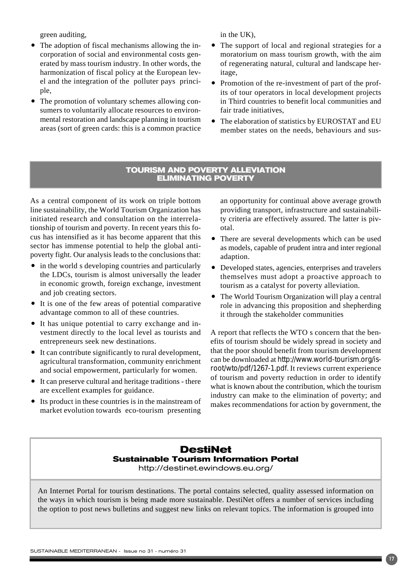green auditing,

- The adoption of fiscal mechanisms allowing the incorporation of social and environmental costs generated by mass tourism industry. In other words, the harmonization of fiscal policy at the European level and the integration of the polluter pays principle,
- The promotion of voluntary schemes allowing consumers to voluntarily allocate resources to environmental restoration and landscape planning in tourism areas (sort of green cards: this is a common practice

in the UK),

- The support of local and regional strategies for a moratorium on mass tourism growth, with the aim of regenerating natural, cultural and landscape heritage,
- Promotion of the re-investment of part of the profits of tour operators in local development projects in Third countries to benefit local communities and fair trade initiatives,
- The elaboration of statistics by EUROSTAT and EU member states on the needs, behaviours and sus-

#### **TOURISM AND POVERTY ALLEVIATION ELIMINATING POVERTY**

As a central component of its work on triple bottom line sustainability, the World Tourism Organization has initiated research and consultation on the interrelationship of tourism and poverty. In recent years this focus has intensified as it has become apparent that this sector has immense potential to help the global antipoverty fight. Our analysis leads to the conclusions that:

- $\bullet$  in the world s developing countries and particularly the LDCs, tourism is almost universally the leader in economic growth, foreign exchange, investment and job creating sectors.
- $\bullet$  It is one of the few areas of potential comparative advantage common to all of these countries.
- It has unique potential to carry exchange and investment directly to the local level as tourists and entrepreneurs seek new destinations.
- It can contribute significantly to rural development, agricultural transformation, community enrichment and social empowerment, particularly for women.
- It can preserve cultural and heritage traditions there are excellent examples for guidance.
- Its product in these countries is in the mainstream of market evolution towards eco-tourism presenting

an opportunity for continual above average growth providing transport, infrastructure and sustainability criteria are effectively assured. The latter is pivotal.

- There are several developments which can be used as models, capable of prudent intra and inter regional adaption.
- Developed states, agencies, enterprises and travelers themselves must adopt a proactive approach to tourism as a catalyst for poverty alleviation.
- The World Tourism Organization will play a central role in advancing this proposition and shepherding it through the stakeholder communities

A report that reflects the WTO s concern that the benefits of tourism should be widely spread in society and that the poor should benefit from tourism development can be downloaded at *http://www.world-tourism.org/isroot/wto/pdf/1267-1.pdf.* It reviews current experience of tourism and poverty reduction in order to identify what is known about the contribution, which the tourism industry can make to the elimination of poverty; and makes recommendations for action by government, the

### **DestiNet Sustainable Tourism Information Portal**

http://destinet.ewindows.eu.org/

An Internet Portal for tourism destinations. The portal contains selected, quality assessed information on the ways in which tourism is being made more sustainable. DestiNet offers a number of services including the option to post news bulletins and suggest new links on relevant topics. The information is grouped into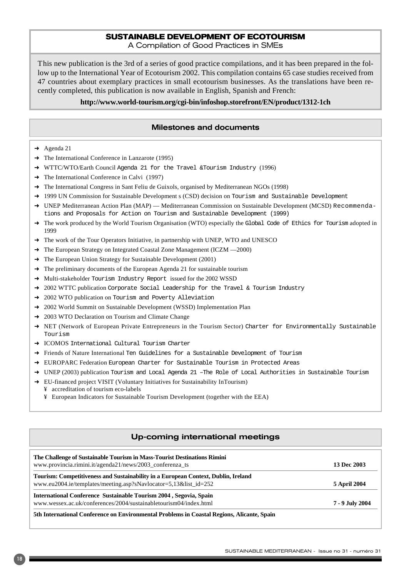#### **SUSTAINABLE DEVELOPMENT OF ECOTOURISM**

A Compilation of Good Practices in SMEs

This new publication is the 3rd of a series of good practice compilations, and it has been prepared in the follow up to the International Year of Ecotourism 2002. This compilation contains 65 case studies received from 47 countries about exemplary practices in small ecotourism businesses. As the translations have been recently completed, this publication is now available in English, Spanish and French:

#### **http://www.world-tourism.org/cgi-bin/infoshop.storefront/EN/product/1312-1ch**

#### Milestones and documents

- $\rightarrow$  Agenda 21
- **→** The International Conference in Lanzarote (1995)
- → WTTC/WTO/Earth Council Agenda 21 for the Travel &Tourism Industry (1996)
- **→** The International Conference in Calvi (1997)
- → The International Congress in Sant Feliu de Guixols, organised by Mediterranean NGOs (1998)
- → 1999 UN Commission for Sustainable Development s (CSD) decision on Tourism and Sustainable Development
- → UNEP Mediterranean Action Plan (MAP) Mediterranean Commission on Sustainable Development (MCSD) Recommendations and Proposals for Action on Tourism and Sustainable Development (1999)
- → The work produced by the World Tourism Organisation (WTO) especially the Global Code of Ethics for Tourism adopted in 1999
- → The work of the Tour Operators Initiative, in partnership with UNEP, WTO and UNESCO
- → The European Strategy on Integrated Coastal Zone Management (ICZM —2000)
- **→** The European Union Strategy for Sustainable Development (2001)
- $\rightarrow$  The preliminary documents of the European Agenda 21 for sustainable tourism
- → Multi-stakeholder Tourism Industry Report issued for the 2002 WSSD
- → 2002 WTTC publication Corporate Social Leadership for the Travel & Tourism Industry
- → 2002 WTO publication on Tourism and Poverty Alleviation
- → 2002 World Summit on Sustainable Development (WSSD) Implementation Plan
- **→** 2003 WTO Declaration on Tourism and Climate Change
- → NET (Network of European Private Entrepreneurs in the Tourism Sector) Charter for Environmentally Sustainable Tourism
- **→ ICOMOS** International Cultural Tourism Charter
- → Friends of Nature International Ten Guidelines for a Sustainable Development of Tourism
- → EUROPARC Federation European Charter for Sustainable Tourism in Protected Areas
- → UNEP (2003) publication Tourism and Local Agenda 21 -The Role of Local Authorities in Sustainable Tourism
- ➜ EU-financed project VISIT (Voluntary Initiatives for Sustainability InTourism)
	- ¥ accreditation of tourism eco-labels
	- ¥ European Indicators for Sustainable Tourism Development (together with the EEA)

#### Up-coming international meetings

| The Challenge of Sustainable Tourism in Mass-Tourist Destinations Rimini<br>www.provincia.rimini.it/agenda21/news/2003_conferenza_ts                   | 13 Dec 2003         |
|--------------------------------------------------------------------------------------------------------------------------------------------------------|---------------------|
| Tourism: Competitiveness and Sustainability in a European Context, Dublin, Ireland<br>www.eu2004.ie/templates/meeting.asp?sNavlocator=5,13&list_id=252 | <b>5 April 2004</b> |
| International Conference Sustainable Tourism 2004, Segovia, Spain<br>www.wessex.ac.uk/conferences/2004/sustainabletourism04/index.html                 | 7 - 9 July 2004     |
| 5th International Conference on Environmental Problems in Coastal Regions, Alicante, Spain                                                             |                     |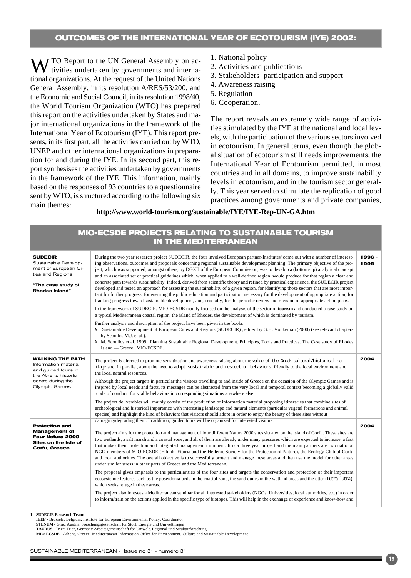#### **OUTCOMES OF THE INTERNATIONAL YEAR OF ECOTOURISM (IYE) 2002:**

MV TO Report to the UN General Assembly on activities undertaken by governments and international organizations. At the request of the United Nations General Assembly, in its resolution A/RES/53/200, and the Economic and Social Council, in its resolution 1998/40, the World Tourism Organization (WTO) has prepared this report on the activities undertaken by States and major international organizations in the framework of the International Year of Ecotourism (IYE). This report presents, in its first part, all the activities carried out by WTO, UNEP and other international organizations in preparation for and during the IYE. In its second part, this report synthesises the activities undertaken by governments in the framework of the IYE. This information, mainly based on the responses of 93 countries to a questionnaire sent by WTO, is structured according to the following six main themes:

- 1. National policy
- 2. Activities and publications
- 3. Stakeholders participation and support
- 4. Awareness raising
- 5. Regulation
- 6. Cooperation.

The report reveals an extremely wide range of activities stimulated by the IYE at the national and local levels, with the participation of the various sectors involved in ecotourism. In general terms, even though the global situation of ecotourism still needs improvements, the International Year of Ecotourism permitted, in most countries and in all domains, to improve sustainability levels in ecotourism, and in the tourism sector generally. This year served to stimulate the replication of good practices among governments and private companies,

#### **http://www.world-tourism.org/sustainable/IYE/IYE-Rep-UN-GA.htm**

| <b>MIO-ECSDE PROJECTS RELATING TO SUSTAINABLE TOURISM</b><br><b>IN THE MEDITERRANEAN</b>                                            |                                                                                                                                                                                                                                                                                                                                                                                                                                                                                                                                                                                                                                                                                                                                                                                                                                                                                                                                                                                                                                                                                                                                                                                                                                                                                                                                                                                                                                                                                                                                                                                                                                                                                                                                                                                                    |                |
|-------------------------------------------------------------------------------------------------------------------------------------|----------------------------------------------------------------------------------------------------------------------------------------------------------------------------------------------------------------------------------------------------------------------------------------------------------------------------------------------------------------------------------------------------------------------------------------------------------------------------------------------------------------------------------------------------------------------------------------------------------------------------------------------------------------------------------------------------------------------------------------------------------------------------------------------------------------------------------------------------------------------------------------------------------------------------------------------------------------------------------------------------------------------------------------------------------------------------------------------------------------------------------------------------------------------------------------------------------------------------------------------------------------------------------------------------------------------------------------------------------------------------------------------------------------------------------------------------------------------------------------------------------------------------------------------------------------------------------------------------------------------------------------------------------------------------------------------------------------------------------------------------------------------------------------------------|----------------|
| <b>SUDECIR</b><br>Sustainable Develop-<br>ment of European Ci-<br>ties and Regions<br>"The case study of<br>Rhodes Island"          | During the two year research project SUDECIR, the four involved European partner-Institutes <sup>1</sup> come out with a number of interest-<br>ing observations, outcomes and proposals concerning regional sustainable development planning. The primary objective of the pro-<br>ject, which was supported, amongst others, by DGXII of the European Commission, was to develop a (bottom-up) analytical concept<br>and an associated set of practical guidelines which, when applied to a well-defined region, would produce for that region a clear and<br>concrete path towards sustainability. Indeed, derived from scientific theory and refined by practical experience, the SUDECIR project<br>developed and tested an approach for assessing the sustainability of a given region, for identifying those sectors that are most impor-<br>tant for further progress, for ensuring the public education and participation necessary for the development of appropriate action, for<br>tracking progress toward sustainable development, and, crucially, for the periodic review and revision of appropriate action plans.<br>In the framework of SUDECIR, MIO-ECSDE mainly focused on the analysis of the sector of tourism and conducted a case-study on<br>a typical Mediterranean coastal region, the island of Rhodes, the development of which is dominated by tourism.<br>Further analysis and description of the project have been given in the books<br>¥ Sustainable Development of European Cities and Regions (SUDECIR), edited by G.H. Vonkeman (2000) (see relevant chapters<br>by Scoullos M.J. et al.).<br>¥ M. Scoullos et al. 1999, Planning Sustainable Regional Development. Principles, Tools and Practices. The Case study of Rhodes<br>Island — Greece . MIO-ECSDE. | 1996 -<br>1998 |
| <b>WALKING THE PATH</b><br>Information material<br>and guided tours in<br>the Athens historic<br>centre during the<br>Olympic Games | The project is directed to promote sensitization and awareness raising about the value of the Greek cultural/historical her-<br>itage and, in parallel, about the need to adopt sustainable and respectful behaviors, friendly to the local environment and<br>the local natural resources.<br>Although the project targets in particular the visitors travelling to and inside of Greece on the occasion of the Olympic Games and is<br>inspired by local needs and facts, its messages can be abstracted from the very local and temporal context becoming a globally valid<br>code of conduct for viable behaviors in corresponding situations anywhere else.<br>The project deliverables will mainly consist of the production of information material proposing itineraries that combine sites of                                                                                                                                                                                                                                                                                                                                                                                                                                                                                                                                                                                                                                                                                                                                                                                                                                                                                                                                                                                             | 2004           |
|                                                                                                                                     | archeological and historical importance with interesting landscape and natural elements (particular vegetal formations and animal<br>species) and highlight the kind of behaviors that visitors should adopt in order to enjoy the beauty of these sites without                                                                                                                                                                                                                                                                                                                                                                                                                                                                                                                                                                                                                                                                                                                                                                                                                                                                                                                                                                                                                                                                                                                                                                                                                                                                                                                                                                                                                                                                                                                                   |                |
| <b>Protection and</b><br><b>Management of</b><br>Four Natura 2000<br>Sites on the Isle of<br>Corfu, Greece                          | damaging/degrading them. In addition, guided tours will be organized for interested visitors.<br>The project aims for the protection and management of four different Natura 2000 sites situated on the island of Corfu. These sites are<br>two wetlands, a salt marsh and a coastal zone, and all of them are already under many pressures which are expected to increase, a fact<br>that makes their protection and integrated management imminent. It is a three year project and the main partners are two national<br>NGO members of MIO-ECSDE (Elliniki Etairia and the Hellenic Society for the Protection of Nature), the Ecology Club of Corfu<br>and local authorities. The overall objective is to successfully protect and manage these areas and then use the model for other areas<br>under similar stress in other parts of Greece and the Mediterranean.                                                                                                                                                                                                                                                                                                                                                                                                                                                                                                                                                                                                                                                                                                                                                                                                                                                                                                                           | 2004           |
|                                                                                                                                     | The proposal gives emphasis to the particularities of the four sites and targets the conservation and protection of their important<br>ecosystemic features such as the poseidonia beds in the coastal zone, the sand dunes in the wetland areas and the otter (Lutra lutra)<br>which seeks refuge in these areas.                                                                                                                                                                                                                                                                                                                                                                                                                                                                                                                                                                                                                                                                                                                                                                                                                                                                                                                                                                                                                                                                                                                                                                                                                                                                                                                                                                                                                                                                                 |                |
|                                                                                                                                     | The project also foresees a Mediterranean seminar for all interested stakeholders (NGOs, Universities, local authorities, etc.) in order<br>to inform/train on the actions applied in the specific type of biotopes. This will help in the exchange of experience and know-how and                                                                                                                                                                                                                                                                                                                                                                                                                                                                                                                                                                                                                                                                                                                                                                                                                                                                                                                                                                                                                                                                                                                                                                                                                                                                                                                                                                                                                                                                                                                 |                |

**1 SUDECIR Reasearch Team:**

**IEEP** - Brussels, Belgium: Institute for European Environmental Policy, Coordinator **STENUM** - Graz, Austria: Forschungsgesellschaft for Stoff, Energie und Umweltfragen

**TAURUS** - Trier: Trier, Germany Arbeitsgemeinschaft for Umwelt, Regional und Strukturforschung,

**MIO-ECSDE** - Athens, Greece: Mediterranean Information Office for Environment, Culture and Sustainable Development